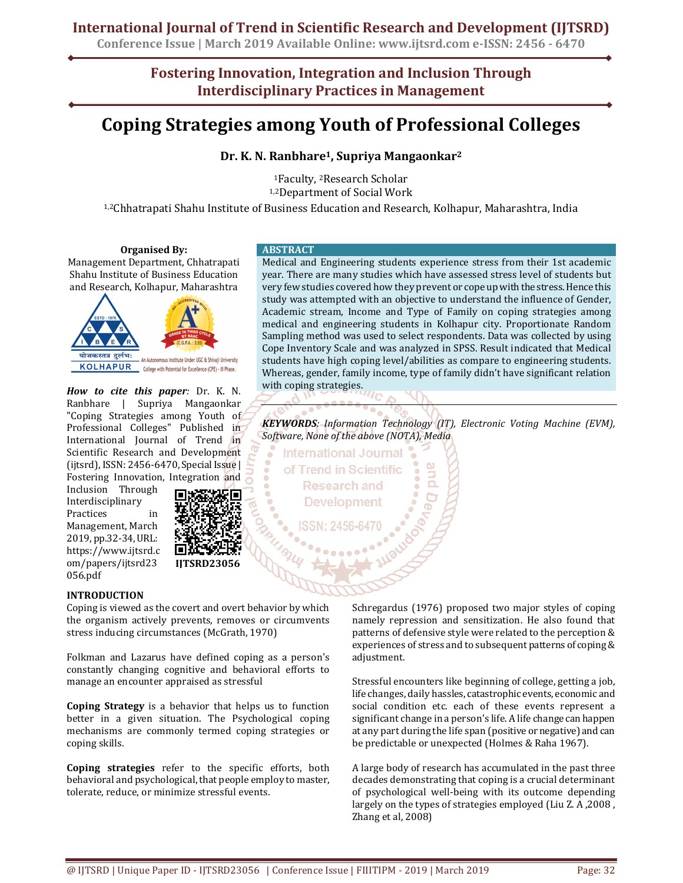# **International Journal of Trend in Scientific Research and Development (IJTSRD)**

**Conference Issue | March 2019 Available Online: www.ijtsrd.com e-ISSN: 2456 - 6470**

**Fostering Innovation, Integration and Inclusion Through Interdisciplinary Practices in Management**

# **Coping Strategies among Youth of Professional Colleges**

**Dr. K. N. Ranbhare1, Supriya Mangaonkar<sup>2</sup>**

<sup>1</sup>Faculty, 2Research Scholar 1,2Department of Social Work

1,2Chhatrapati Shahu Institute of Business Education and Research, Kolhapur, Maharashtra, India

#### **Organised By:**

Management Department, Chhatrapati Shahu Institute of Business Education and Research, Kolhapur, Maharashtra



*How to cite this paper:* Dr. K. N. Ranbhare | Supriya Mangaonkar "Coping Strategies among Youth of Professional Colleges" Published in International Journal of Trend in Scientific Research and Development (ijtsrd), ISSN: 2456-6470, Special Issue | Fostering Innovation, Integration and

Inclusion Through Interdisciplinary Practices in Management, March 2019, pp.32-34, URL: https://www.ijtsrd.c om/papers/ijtsrd23 056.pdf



# **INTRODUCTION**

Coping is viewed as the covert and overt behavior by which the organism actively prevents, removes or circumvents stress inducing circumstances (McGrath, 1970)

Folkman and Lazarus have defined coping as a person's constantly changing cognitive and behavioral efforts to manage an encounter appraised as stressful

**Coping Strategy** is a behavior that helps us to function better in a given situation. The Psychological coping mechanisms are commonly termed coping strategies or coping skills.

**Coping strategies** refer to the specific efforts, both behavioral and psychological, that people employ to master, tolerate, reduce, or minimize stressful events.

#### **ABSTRACT**

Medical and Engineering students experience stress from their 1st academic year. There are many studies which have assessed stress level of students but very few studies covered how they prevent or cope up with the stress. Hence this study was attempted with an objective to understand the influence of Gender, Academic stream, Income and Type of Family on coping strategies among medical and engineering students in Kolhapur city. Proportionate Random Sampling method was used to select respondents. Data was collected by using Cope Inventory Scale and was analyzed in SPSS. Result indicated that Medical students have high coping level/abilities as compare to engineering students. Whereas, gender, family income, type of family didn't have significant relation with coping strategies.

*KEYWORDS: Information Technology (IT), Electronic Voting Machine (EVM), Software, None of the above (NOTA), Media* 

**International Journal** of Trend in Scientific **Research and Development** 

> Schregardus (1976) proposed two major styles of coping namely repression and sensitization. He also found that patterns of defensive style were related to the perception & experiences of stress and to subsequent patterns of coping & adjustment.

> Stressful encounters like beginning of college, getting a job, life changes, daily hassles, catastrophic events, economic and social condition etc. each of these events represent a significant change in a person's life. A life change can happen at any part during the life span (positive or negative) and can be predictable or unexpected (Holmes & Raha 1967).

> A large body of research has accumulated in the past three decades demonstrating that coping is a crucial determinant of psychological well-being with its outcome depending largely on the types of strategies employed (Liu Z. A ,2008 , Zhang et al, 2008)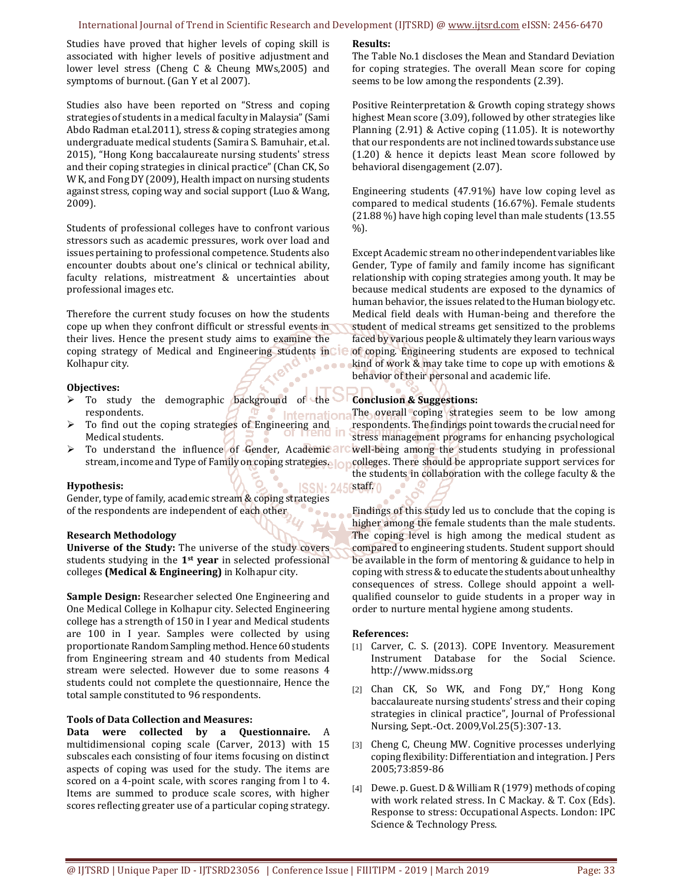#### International Journal of Trend in Scientific Research and Development (IJTSRD) @ www.ijtsrd.com eISSN: 2456-6470

Studies have proved that higher levels of coping skill is associated with higher levels of positive adjustment and lower level stress (Cheng C & Cheung MWs,2005) and symptoms of burnout. (Gan Y et al 2007).

Studies also have been reported on "Stress and coping strategies of students in a medical faculty in Malaysia" (Sami Abdo Radman et.al.2011), stress & coping strategies among undergraduate medical students (Samira S. Bamuhair, et.al. 2015), "Hong Kong baccalaureate nursing students' stress and their coping strategies in clinical practice" (Chan CK, So W K, and Fong DY (2009), Health impact on nursing students against stress, coping way and social support (Luo & Wang, 2009).

Students of professional colleges have to confront various stressors such as academic pressures, work over load and issues pertaining to professional competence. Students also encounter doubts about one's clinical or technical ability, faculty relations, mistreatment & uncertainties about professional images etc.

Therefore the current study focuses on how the students cope up when they confront difficult or stressful events in their lives. Hence the present study aims to examine the coping strategy of Medical and Engineering students incle Kolhapur city.

#### **Objectives:**

- $\triangleright$  To study the demographic background of the respondents.
- $\triangleright$  To find out the coping strategies of Engineering and Medical students.
- $\triangleright$  To understand the influence of Gender, Academic arc stream, income and Type of Family on coping strategies.

#### **Hypothesis:**

Gender, type of family, academic stream & coping strategies of the respondents are independent of each other

#### **Research Methodology**

**Universe of the Study:** The universe of the study covers students studying in the **1st year** in selected professional colleges **(Medical & Engineering)** in Kolhapur city.

**Sample Design:** Researcher selected One Engineering and One Medical College in Kolhapur city. Selected Engineering college has a strength of 150 in I year and Medical students are 100 in I year. Samples were collected by using proportionate Random Sampling method. Hence 60 students from Engineering stream and 40 students from Medical stream were selected. However due to some reasons 4 students could not complete the questionnaire, Hence the total sample constituted to 96 respondents.

#### **Tools of Data Collection and Measures:**

**Data were collected by a Questionnaire.** A multidimensional coping scale (Carver, 2013) with 15 subscales each consisting of four items focusing on distinct aspects of coping was used for the study. The items are scored on a 4-point scale, with scores ranging from l to 4. Items are summed to produce scale scores, with higher scores reflecting greater use of a particular coping strategy.

#### **Results:**

The Table No.1 discloses the Mean and Standard Deviation for coping strategies. The overall Mean score for coping seems to be low among the respondents (2.39).

Positive Reinterpretation & Growth coping strategy shows highest Mean score (3.09), followed by other strategies like Planning (2.91) & Active coping (11.05). It is noteworthy that our respondents are not inclined towards substance use (1.20) & hence it depicts least Mean score followed by behavioral disengagement (2.07).

Engineering students (47.91%) have low coping level as compared to medical students (16.67%). Female students (21.88 %) have high coping level than male students (13.55 %).

Except Academic stream no other independent variables like Gender, Type of family and family income has significant relationship with coping strategies among youth. It may be because medical students are exposed to the dynamics of human behavior, the issues related to the Human biology etc. Medical field deals with Human-being and therefore the student of medical streams get sensitized to the problems faced by various people & ultimately they learn various ways of coping. Engineering students are exposed to technical kind of work & may take time to cope up with emotions & behavior of their personal and academic life.

## **Conclusion & Suggestions:**

The overall coping strategies seem to be low among respondents. The findings point towards the crucial need for stress management programs for enhancing psychological well-being among the students studying in professional colleges. There should be appropriate support services for the students in collaboration with the college faculty & the

staff.

Findings of this study led us to conclude that the coping is higher among the female students than the male students. The coping level is high among the medical student as compared to engineering students. Student support should be available in the form of mentoring & guidance to help in coping with stress & to educate the students about unhealthy consequences of stress. College should appoint a wellqualified counselor to guide students in a proper way in order to nurture mental hygiene among students.

#### **References:**

- [1] Carver, C. S. (2013). COPE Inventory. Measurement Instrument Database for the Social Science. http://www.midss.org
- [2] Chan CK, So WK, and Fong DY," Hong Kong baccalaureate nursing students' stress and their coping strategies in clinical practice", Journal of Professional Nursing, Sept.-Oct. 2009,Vol.25(5):307-13.
- [3] Cheng C, Cheung MW. Cognitive processes underlying coping flexibility: Differentiation and integration. J Pers 2005;73:859-86
- [4] Dewe. p. Guest. D & William R (1979) methods of coping with work related stress. In C Mackay. & T. Cox (Eds). Response to stress: Occupational Aspects. London: IPC Science & Technology Press.